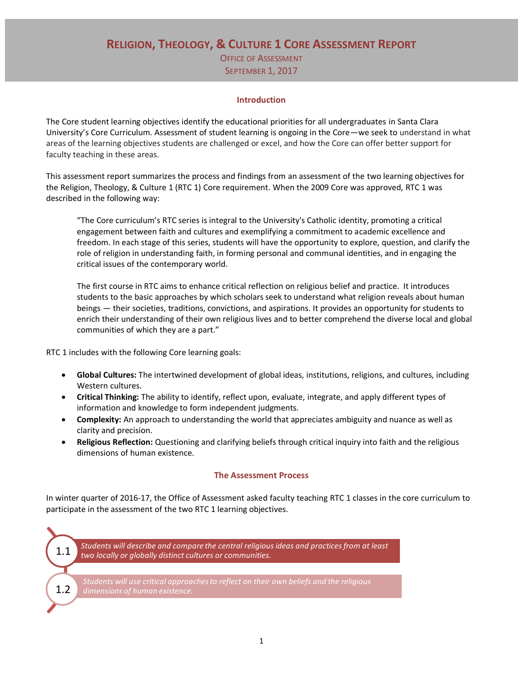# **RELIGION, THEOLOGY, & CULTURE 1 CORE ASSESSMENT REPORT** OFFICE OF ASSESSMENT **SEPTEMBER 1, 2017**

#### **Introduction**

The Core student learning objectives identify the educational priorities for all undergraduates in Santa Clara University's Core Curriculum. Assessment of student learning is ongoing in the Core—we seek to understand in what areas of the learning objectives students are challenged or excel, and how the Core can offer better support for faculty teaching in these areas.

This assessment report summarizes the process and findings from an assessment of the two learning objectives for the Religion, Theology, & Culture 1 (RTC 1) Core requirement. When the 2009 Core was approved, RTC 1 was described in the following way:

"The Core curriculum's RTC series is integral to the University's Catholic identity, promoting a critical engagement between faith and cultures and exemplifying a commitment to academic excellence and freedom. In each stage of this series, students will have the opportunity to explore, question, and clarify the role of religion in understanding faith, in forming personal and communal identities, and in engaging the critical issues of the contemporary world.

The first course in RTC aims to enhance critical reflection on religious belief and practice. It introduces students to the basic approaches by which scholars seek to understand what religion reveals about human beings — their societies, traditions, convictions, and aspirations. It provides an opportunity for students to enrich their understanding of their own religious lives and to better comprehend the diverse local and global communities of which they are a part."

RTC 1 includes with the following Core learning goals:

- **Global Cultures:** The intertwined development of global ideas, institutions, religions, and cultures, including Western cultures.
- **Critical Thinking:** The ability to identify, reflect upon, evaluate, integrate, and apply different types of information and knowledge to form independent judgments.
- **Complexity:** An approach to understanding the world that appreciates ambiguity and nuance as well as clarity and precision.
- **Religious Reflection:** Questioning and clarifying beliefs through critical inquiry into faith and the religious dimensions of human existence.

## **The Assessment Process**

In winter quarter of 2016-17, the Office of Assessment asked faculty teaching RTC 1 classes in the core curriculum to participate in the assessment of the two RTC 1 learning objectives.

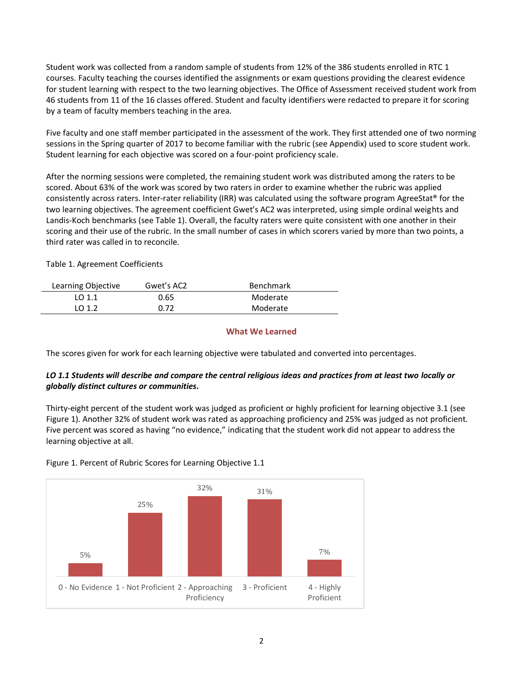Student work was collected from a random sample of students from 12% of the 386 students enrolled in RTC 1 courses. Faculty teaching the courses identified the assignments or exam questions providing the clearest evidence for student learning with respect to the two learning objectives. The Office of Assessment received student work from 46 students from 11 of the 16 classes offered. Student and faculty identifiers were redacted to prepare it for scoring by a team of faculty members teaching in the area.

Five faculty and one staff member participated in the assessment of the work. They first attended one of two norming sessions in the Spring quarter of 2017 to become familiar with the rubric (see Appendix) used to score student work. Student learning for each objective was scored on a four-point proficiency scale.

After the norming sessions were completed, the remaining student work was distributed among the raters to be scored. About 63% of the work was scored by two raters in order to examine whether the rubric was applied consistently across raters. Inter-rater reliability (IRR) was calculated using the software program AgreeStat® for the two learning objectives. The agreement coefficient Gwet's AC2 was interpreted, using simple ordinal weights and Landis-Koch benchmarks (see Table 1). Overall, the faculty raters were quite consistent with one another in their scoring and their use of the rubric. In the small number of cases in which scorers varied by more than two points, a third rater was called in to reconcile.

Table 1. Agreement Coefficients

| Learning Objective | Gwet's AC2 | <b>Benchmark</b> |
|--------------------|------------|------------------|
| LO $1.1$           | 0.65       | Moderate         |
| LO 1.2             | 0.72       | Moderate         |
|                    |            |                  |

#### **What We Learned**

The scores given for work for each learning objective were tabulated and converted into percentages.

## *LO 1.1 Students will describe and compare the central religious ideas and practices from at least two locally or globally distinct cultures or communities.*

Thirty-eight percent of the student work was judged as proficient or highly proficient for learning objective 3.1 (see Figure 1). Another 32% of student work was rated as approaching proficiency and 25% was judged as not proficient. Five percent was scored as having "no evidence," indicating that the student work did not appear to address the learning objective at all.



Figure 1. Percent of Rubric Scores for Learning Objective 1.1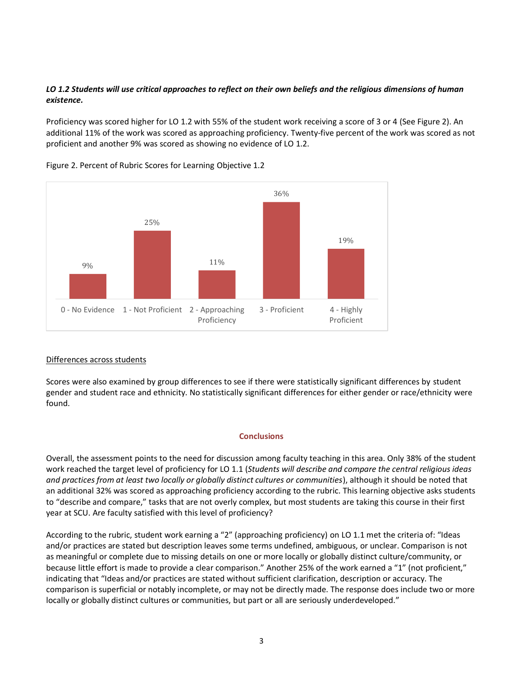## *LO 1.2 Students will use critical approaches to reflect on their own beliefs and the religious dimensions of human existence.*

Proficiency was scored higher for LO 1.2 with 55% of the student work receiving a score of 3 or 4 (See Figure 2). An additional 11% of the work was scored as approaching proficiency. Twenty-five percent of the work was scored as not proficient and another 9% was scored as showing no evidence of LO 1.2.



Figure 2. Percent of Rubric Scores for Learning Objective 1.2

## Differences across students

Scores were also examined by group differences to see if there were statistically significant differences by student gender and student race and ethnicity. No statistically significant differences for either gender or race/ethnicity were found.

#### **Conclusions**

Overall, the assessment points to the need for discussion among faculty teaching in this area. Only 38% of the student work reached the target level of proficiency for LO 1.1 (*Students will describe and compare the central religious ideas and practices from at least two locally or globally distinct cultures or communities*), although it should be noted that an additional 32% was scored as approaching proficiency according to the rubric. This learning objective asks students to "describe and compare," tasks that are not overly complex, but most students are taking this course in their first year at SCU. Are faculty satisfied with this level of proficiency?

According to the rubric, student work earning a "2" (approaching proficiency) on LO 1.1 met the criteria of: "Ideas and/or practices are stated but description leaves some terms undefined, ambiguous, or unclear. Comparison is not as meaningful or complete due to missing details on one or more locally or globally distinct culture/community, or because little effort is made to provide a clear comparison." Another 25% of the work earned a "1" (not proficient," indicating that "Ideas and/or practices are stated without sufficient clarification, description or accuracy. The comparison is superficial or notably incomplete, or may not be directly made. The response does include two or more locally or globally distinct cultures or communities, but part or all are seriously underdeveloped."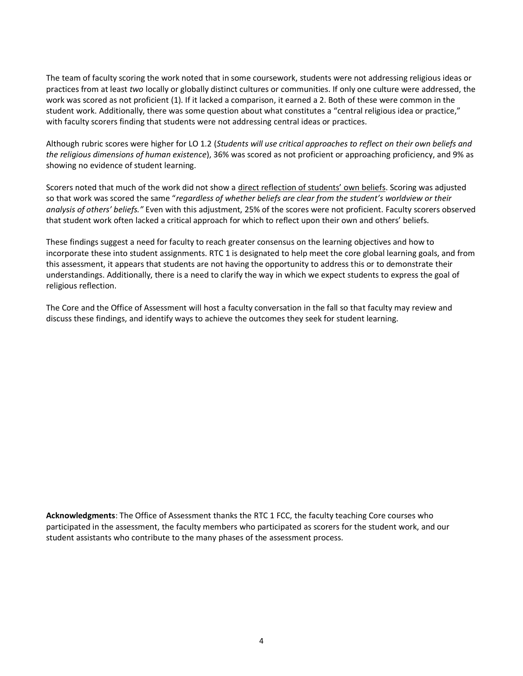The team of faculty scoring the work noted that in some coursework, students were not addressing religious ideas or practices from at least *two* locally or globally distinct cultures or communities. If only one culture were addressed, the work was scored as not proficient (1). If it lacked a comparison, it earned a 2. Both of these were common in the student work. Additionally, there was some question about what constitutes a "central religious idea or practice," with faculty scorers finding that students were not addressing central ideas or practices.

Although rubric scores were higher for LO 1.2 (*Students will use critical approaches to reflect on their own beliefs and the religious dimensions of human existence*), 36% was scored as not proficient or approaching proficiency, and 9% as showing no evidence of student learning.

Scorers noted that much of the work did not show a direct reflection of students' own beliefs. Scoring was adjusted so that work was scored the same "*regardless of whether beliefs are clear from the student's worldview or their analysis of others' beliefs."* Even with this adjustment, 25% of the scores were not proficient. Faculty scorers observed that student work often lacked a critical approach for which to reflect upon their own and others' beliefs.

These findings suggest a need for faculty to reach greater consensus on the learning objectives and how to incorporate these into student assignments. RTC 1 is designated to help meet the core global learning goals, and from this assessment, it appears that students are not having the opportunity to address this or to demonstrate their understandings. Additionally, there is a need to clarify the way in which we expect students to express the goal of religious reflection.

The Core and the Office of Assessment will host a faculty conversation in the fall so that faculty may review and discuss these findings, and identify ways to achieve the outcomes they seek for student learning.

**Acknowledgments**: The Office of Assessment thanks the RTC 1 FCC, the faculty teaching Core courses who participated in the assessment, the faculty members who participated as scorers for the student work, and our student assistants who contribute to the many phases of the assessment process.